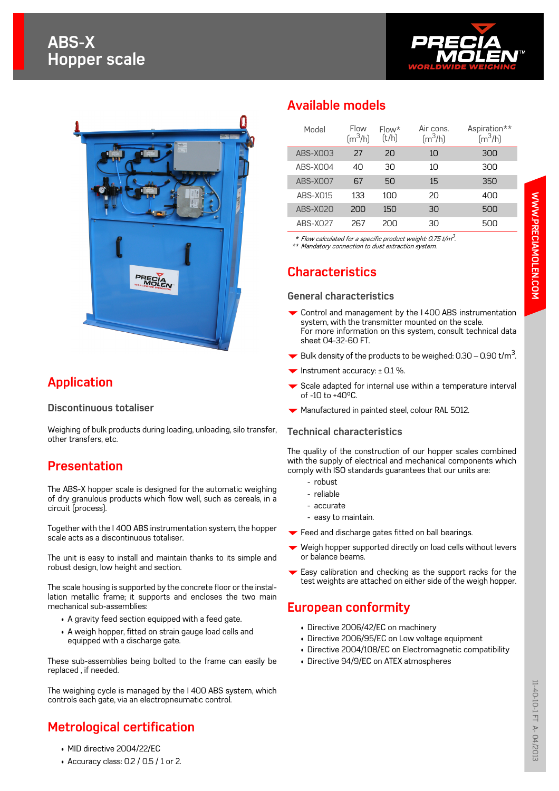# **ABS-X Hopper scale**





# **Application**

#### **Discontinuous totaliser**

Weighing of bulk products during loading, unloading, silo transfer, other transfers, etc.

### **Presentation**

The ABS-X hopper scale is designed for the automatic weighing of dry granulous products which flow well, such as cereals, in a circuit (process).

Together with the I 400 ABS instrumentation system, the hopper scale acts as a discontinuous totaliser.

The unit is easy to install and maintain thanks to its simple and robust design, low height and section.

The scale housing is supported by the concrete floor or the installation metallic frame; it supports and encloses the two main mechanical sub-assemblies:

- A gravity feed section equipped with a feed gate.
- A weigh hopper, fitted on strain gauge load cells and equipped with a discharge gate.

These sub-assemblies being bolted to the frame can easily be replaced , if needed.

The weighing cycle is managed by the I 400 ABS system, which controls each gate, via an electropneumatic control.

## **Metrological certification**

- MID directive 2004/22/EC
- Accuracy class: 0.2 / 0.5 / 1 or 2.

### **Available models**

| Model    | Flow<br>$\rm [m^3/h]$ | $Flow*$<br>(t/h) | Air cons.<br>$\left[\text{m}^3/\text{h}\right]$ | Aspiration**<br>$\rm [m^3/h]$ |
|----------|-----------------------|------------------|-------------------------------------------------|-------------------------------|
| ABS-X003 | 27                    | 20               | 1 <sub>0</sub>                                  | 300                           |
| ABS-XOO4 | 40                    | 30               | 10                                              | 300                           |
| ABS-X007 | 67                    | 50               | 15                                              | 350                           |
| ABS-X015 | 133                   | 100              | 20                                              | 400                           |
| ABS-X020 | 200                   | 150              | 30                                              | 500                           |
| ABS-X027 | 267                   | 200              | 30                                              | 500                           |

 $^{\ast}$  Flow calculated for a specific product weight: 0.75 t/m $^3$ . \*\* Mandatory connection to dust extraction system.

### **Characteristics**

#### **General characteristics**

- $\blacktriangleright$  Control and management by the I 400 ABS instrumentation system, with the transmitter mounted on the scale. For more information on this system, consult technical data sheet 04-32-60 FT.
- $\blacktriangleright$  Bulk density of the products to be weighed: 0.30 0.90 t/m<sup>3</sup>. .
- Instrument accuracy:  $\pm$  0.1 %.
- Scale adapted for internal use within a temperature interval of -10 to +40°C.
- $\blacktriangleright$  Manufactured in painted steel, colour RAL 5012.

#### **Technical characteristics**

The quality of the construction of our hopper scales combined with the supply of electrical and mechanical components which comply with ISO standards guarantees that our units are:

- robust
- reliable
- accurate
- easy to maintain.
- Feed and discharge gates fitted on ball bearings.
- Weigh hopper supported directly on load cells without levers or balance beams.
- $\blacktriangleright$  Easy calibration and checking as the support racks for the test weights are attached on either side of the weigh hopper.

#### **European conformity**

- Directive 2006/42/EC on machinery
- Directive 2006/95/EC on Low voltage equipment
- Directive 2004/108/EC on Electromagnetic compatibility
- Directive 94/9/EC on ATEX atmospheres

**WWW.PRECIAMOLEN.COM**

WWW.PRECIAMOLEN.COM